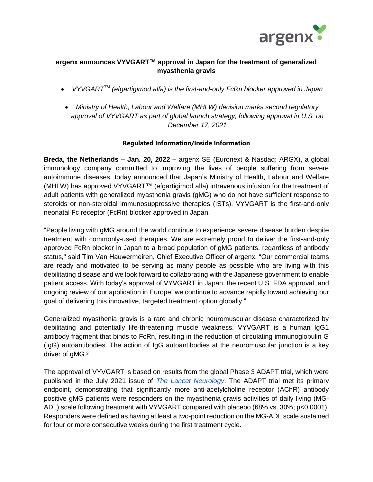

## **argenx announces VYVGART™ approval in Japan for the treatment of generalized myasthenia gravis**

- *VYVGARTTM (efgartigimod alfa) is the first-and-only FcRn blocker approved in Japan*
- *Ministry of Health, Labour and Welfare (MHLW) decision marks second regulatory approval of VYVGART as part of global launch strategy, following approval in U.S. on December 17, 2021*

### **Regulated Information/Inside Information**

**Breda, the Netherlands – Jan. 20, 2022 –** argenx SE (Euronext & Nasdaq: ARGX), a global immunology company committed to improving the lives of people suffering from severe autoimmune diseases, today announced that Japan's Ministry of Health, Labour and Welfare (MHLW) has approved VYVGART™ (efgartigimod alfa) intravenous infusion for the treatment of adult patients with generalized myasthenia gravis (gMG) who do not have sufficient response to steroids or non-steroidal immunosuppressive therapies (ISTs). VYVGART is the first-and-only neonatal Fc receptor (FcRn) blocker approved in Japan.

"People living with gMG around the world continue to experience severe disease burden despite treatment with commonly-used therapies. We are extremely proud to deliver the first-and-only approved FcRn blocker in Japan to a broad population of gMG patients, regardless of antibody status," said Tim Van Hauwermeiren, Chief Executive Officer of argenx. "Our commercial teams are ready and motivated to be serving as many people as possible who are living with this debilitating disease and we look forward to collaborating with the Japanese government to enable patient access. With today's approval of VYVGART in Japan, the recent U.S. FDA approval, and ongoing review of our application in Europe, we continue to advance rapidly toward achieving our goal of delivering this innovative, targeted treatment option globally."

Generalized myasthenia gravis is a rare and chronic neuromuscular disease characterized by debilitating and potentially life-threatening muscle weakness. VYVGART is a human IgG1 antibody fragment that binds to FcRn, resulting in the reduction of circulating immunoglobulin G (IgG) autoantibodies. The action of IgG autoantibodies at the neuromuscular junction is a key driver of gMG.²

The approval of VYVGART is based on results from the global Phase 3 ADAPT trial, which were published in the July 2021 issue of *[The Lancet Neurology](https://www.thelancet.com/journals/laneur/article/PIIS1474-4422(21)00159-9/fulltext)*. The ADAPT trial met its primary endpoint, demonstrating that significantly more anti-acetylcholine receptor (AChR) antibody positive gMG patients were responders on the myasthenia gravis activities of daily living (MG-ADL) scale following treatment with VYVGART compared with placebo (68% vs. 30%; p<0.0001). Responders were defined as having at least a two-point reduction on the MG-ADL scale sustained for four or more consecutive weeks during the first treatment cycle.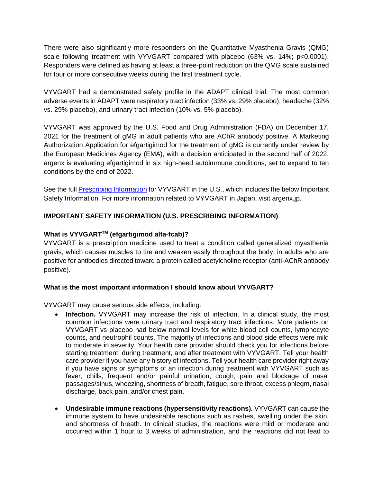There were also significantly more responders on the Quantitative Myasthenia Gravis (QMG) scale following treatment with VYVGART compared with placebo (63% vs. 14%; p<0.0001). Responders were defined as having at least a three-point reduction on the QMG scale sustained for four or more consecutive weeks during the first treatment cycle.

VYVGART had a demonstrated safety profile in the ADAPT clinical trial. The most common adverse events in ADAPT were respiratory tract infection (33% vs. 29% placebo), headache (32% vs. 29% placebo), and urinary tract infection (10% vs. 5% placebo).

VYVGART was approved by the U.S. Food and Drug Administration (FDA) on December 17, 2021 for the treatment of gMG in adult patients who are AChR antibody positive. A Marketing Authorization Application for efgartigimod for the treatment of gMG is currently under review by the European Medicines Agency (EMA), with a decision anticipated in the second half of 2022. argenx is evaluating efgartigimod in six high-need autoimmune conditions, set to expand to ten conditions by the end of 2022.

See the full [Prescribing Information](https://argenx.com/product/vyvgart-prescribing-information.pdf) for VYVGART in the U.S., which includes the below Important Safety Information. For more information related to VYVGART in Japan, visit argenx.jp.

# **IMPORTANT SAFETY INFORMATION (U.S. PRESCRIBING INFORMATION)**

## **What is VYVGARTTM (efgartigimod alfa-fcab)?**

VYVGART is a prescription medicine used to treat a condition called generalized myasthenia gravis, which causes muscles to tire and weaken easily throughout the body, in adults who are positive for antibodies directed toward a protein called acetylcholine receptor (anti-AChR antibody positive).

### **What is the most important information I should know about VYVGART?**

VYVGART may cause serious side effects, including:

- **Infection.** VYVGART may increase the risk of infection. In a clinical study, the most common infections were urinary tract and respiratory tract infections. More patients on VYVGART vs placebo had below normal levels for white blood cell counts, lymphocyte counts, and neutrophil counts. The majority of infections and blood side effects were mild to moderate in severity. Your health care provider should check you for infections before starting treatment, during treatment, and after treatment with VYVGART. Tell your health care provider if you have any history of infections. Tell your health care provider right away if you have signs or symptoms of an infection during treatment with VYVGART such as fever, chills, frequent and/or painful urination, cough, pain and blockage of nasal passages/sinus, wheezing, shortness of breath, fatigue, sore throat, excess phlegm, nasal discharge, back pain, and/or chest pain.
- **Undesirable immune reactions (hypersensitivity reactions).** VYVGART can cause the immune system to have undesirable reactions such as rashes, swelling under the skin, and shortness of breath. In clinical studies, the reactions were mild or moderate and occurred within 1 hour to 3 weeks of administration, and the reactions did not lead to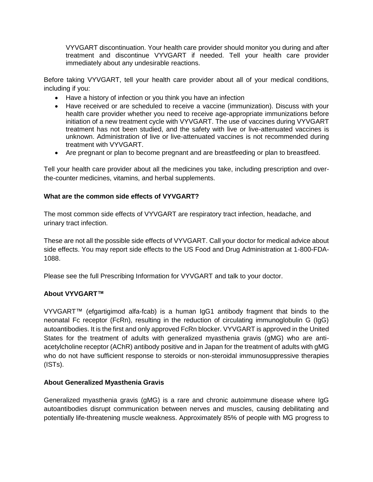VYVGART discontinuation. Your health care provider should monitor you during and after treatment and discontinue VYVGART if needed. Tell your health care provider immediately about any undesirable reactions.

Before taking VYVGART, tell your health care provider about all of your medical conditions, including if you:

- Have a history of infection or you think you have an infection
- Have received or are scheduled to receive a vaccine (immunization). Discuss with your health care provider whether you need to receive age-appropriate immunizations before initiation of a new treatment cycle with VYVGART. The use of vaccines during VYVGART treatment has not been studied, and the safety with live or live-attenuated vaccines is unknown. Administration of live or live-attenuated vaccines is not recommended during treatment with VYVGART.
- Are pregnant or plan to become pregnant and are breastfeeding or plan to breastfeed.

Tell your health care provider about all the medicines you take, including prescription and overthe-counter medicines, vitamins, and herbal supplements.

### **What are the common side effects of VYVGART?**

The most common side effects of VYVGART are respiratory tract infection, headache, and urinary tract infection.

These are not all the possible side effects of VYVGART. Call your doctor for medical advice about side effects. You may report side effects to the US Food and Drug Administration at 1-800-FDA-1088.

Please see the full Prescribing Information for VYVGART and talk to your doctor.

### **About VYVGART™**

VYVGART™ (efgartigimod alfa-fcab) is a human IgG1 antibody fragment that binds to the neonatal Fc receptor (FcRn), resulting in the reduction of circulating immunoglobulin G (IgG) autoantibodies. It is the first and only approved FcRn blocker. VYVGART is approved in the United States for the treatment of adults with generalized myasthenia gravis (gMG) who are antiacetylcholine receptor (AChR) antibody positive and in Japan for the treatment of adults with gMG who do not have sufficient response to steroids or non-steroidal immunosuppressive therapies (ISTs).

### **About Generalized Myasthenia Gravis**

Generalized myasthenia gravis (gMG) is a rare and chronic autoimmune disease where IgG autoantibodies disrupt communication between nerves and muscles, causing debilitating and potentially life-threatening muscle weakness. Approximately 85% of people with MG progress to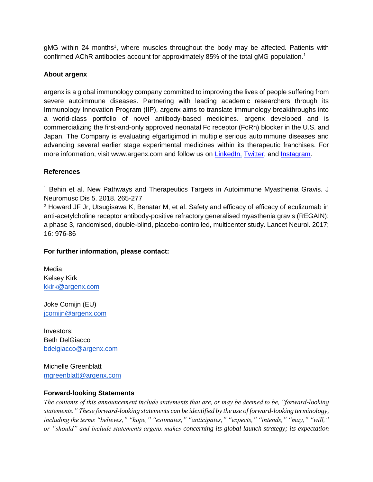gMG within 24 months<sup>1</sup>, where muscles throughout the body may be affected. Patients with confirmed AChR antibodies account for approximately 85% of the total gMG population.<sup>1</sup>

### **About argenx**

argenx is a global immunology company committed to improving the lives of people suffering from severe autoimmune diseases. Partnering with leading academic researchers through its Immunology Innovation Program (IIP), argenx aims to translate immunology breakthroughs into a world-class portfolio of novel antibody-based medicines. argenx developed and is commercializing the first-and-only approved neonatal Fc receptor (FcRn) blocker in the U.S. and Japan. The Company is evaluating efgartigimod in multiple serious autoimmune diseases and advancing several earlier stage experimental medicines within its therapeutic franchises. For more information, visit www.argenx.com and follow us on [LinkedIn,](https://www.linkedin.com/company/argenx/) [Twitter,](https://twitter.com/argenxglobal) and [Instagram.](https://www.instagram.com/argenxglobal)

#### **References**

<sup>1</sup> Behin et al. New Pathways and Therapeutics Targets in Autoimmune Myasthenia Gravis. J Neuromusc Dis 5. 2018. 265-277

<sup>2</sup> Howard JF Jr, Utsugisawa K, Benatar M, et al. Safety and efficacy of efficacy of eculizumab in anti-acetylcholine receptor antibody-positive refractory generalised myasthenia gravis (REGAIN): a phase 3, randomised, double-blind, placebo-controlled, multicenter study. Lancet Neurol. 2017; 16: 976-86

### **For further information, please contact:**

Media: Kelsey Kirk [kkirk@argenx.com](mailto:kkirk@argenx.com)

Joke Comijn (EU) [jcomijn@argenx.com](mailto:jcomijn@argenx.com)

Investors: Beth DelGiacco [bdelgiacco@argenx.com](mailto:bdelgiacco@argenx.com)

Michelle Greenblatt [mgreenblatt@argenx.com](mailto:mgreenblatt@argenx.com)

#### **Forward-looking Statements**

*The contents of this announcement include statements that are, or may be deemed to be, "forward-looking statements." These forward-looking statements can be identified by the use of forward-looking terminology, including the terms "believes," "hope," "estimates," "anticipates," "expects," "intends," "may," "will," or "should" and include statements argenx makes concerning its global launch strategy; its expectation*